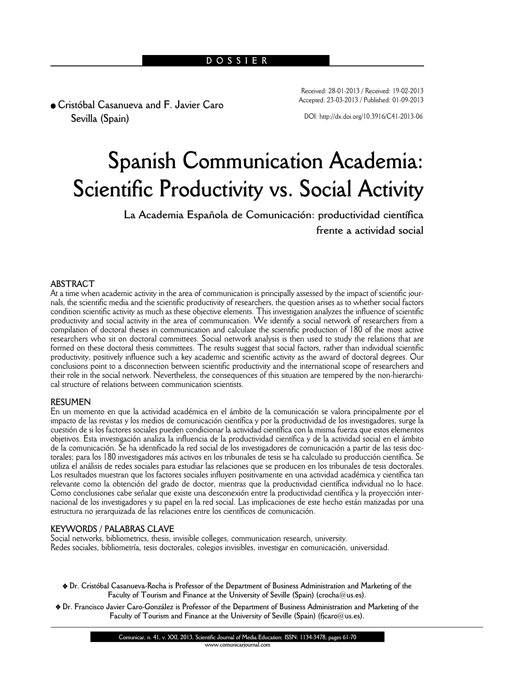<sup>l</sup> **Cristóbal Casanueva and F. Javier Caro Sevilla (Spain)**

Received: 28-01-2013 / Received: 19-02-2013 Accepted: 23-03-2013 / Published: 01-09-2013

DOI: http://dx.doi.org/10.3916/C41-2013-06

# **Spanish Communication Academia: Scientific Productivity vs. Social Activity**

**La Academia Española de Comunicación: productividad científica frente a actividad social**

# **ABSTRACT**

At a time when academic activity in the area of communication is principally assessed by the impact of scientific journals, the scientific media and the scientific productivity of researchers, the question arises as to whether social factors condition scientific activity as much as these objective elements. This investigation analyzes the influence of scientific productivity and social activity in the area of communication. We identify a social network of researchers from a compilation of doctoral theses in communication and calculate the scientific production of 180 of the most active researchers who sit on doctoral committees. Social network analysis is then used to study the relations that are formed on these doctoral thesis committees. The results suggest that social factors, rather than individual scientific productivity, positively influence such a key academic and scientific activity as the award of doctoral degrees. Our conclusions point to a disconnection between scientific productivity and the international scope of researchers and their role in the social network. Nevertheless, the consequences of this situation are tempered by the non-hierarchical structure of relations between communication scientists.

#### **RESUMEN**

En un momento en que la actividad académica en el ámbito de la comunicación se valora principalmente por el impacto de las revistas y los medios de comunicación científica y por la productividad de los investigadores, surge la cuestión de si los factores sociales pueden condicionar la actividad científica con la misma fuerza que estos elementos objetivos. Esta investigación analiza la influencia de la productividad científica y de la actividad social en el ámbito de la comunicación. Se ha identificado la red social de los investigadores de comunicación a partir de las tesis doctorales; para los 180 investigadores más activos en los tribunales de tesis se ha calculado su producción científica. Se utiliza el análisis de redes sociales para estudiar las relaciones que se producen en los tribunales de tesis doctorales. Los resultados muestran que los factores sociales influyen positivamente en una actividad académica y científica tan relevante como la obtención del grado de doctor, mientras que la productividad científica individual no lo hace. Como conclusiones cabe señalar que existe una desconexión entre la productividad científica y la proyección internacional de los investigadores y su papel en la red social. Las implicaciones de este hecho están matizadas por una estructura no jerarquizada de las relaciones entre los científicos de comunicación.

#### **KEYWORDS / PALABRAS CLAVE**

Social networks, bibliometrics, thesis, invisible colleges, communication research, university. Redes sociales, bibliometría, tesis doctorales, colegios invisibles, investigar en comunicación, universidad.

- v **Dr. Cristóbal Casanueva-Rocha is Professor of the Department of Business Administration and Marketing of the Faculty of Tourism and Finance at the University of Seville (Spain) (crocha@us.es).**
- v **Dr. Francisco Javier Caro-González is Professor of the Department of Business Administration and Marketing of the Faculty of Tourism and Finance at the University of Seville (Spain) (fjcaro@us.es).**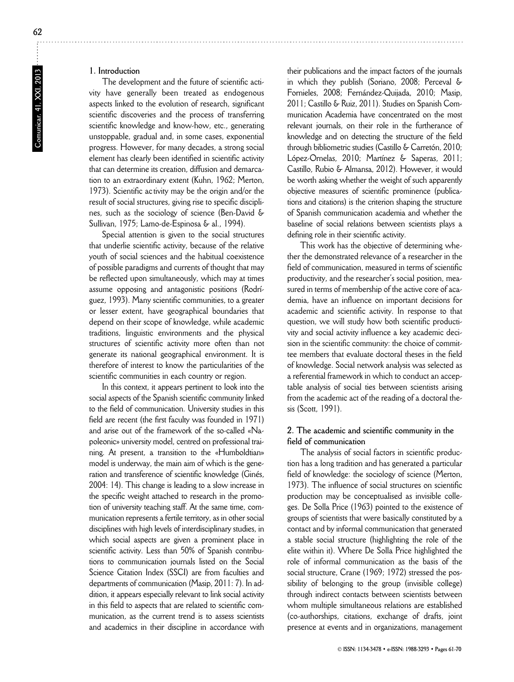# **1. Introduction**

The development and the future of scientific activity have generally been treated as endogenous aspects linked to the evolution of research, significant scientific discoveries and the process of transferring scientific knowledge and know-how, etc., generating unstoppable, gradual and, in some cases, exponential progress. However, for many decades, a strong social element has clearly been identified in scientific activity that can determine its creation, diffusion and demarcation to an extraordinary extent (Kuhn, 1962; Merton, 1973). Scientific ac tivity may be the origin and/or the result of social structures, giving rise to specific disciplines, such as the sociology of science (Ben-David & Sullivan, 1975; Lamo-de-Espinosa & al., 1994).

Special attention is given to the social structures that underlie scientific activity, because of the relative youth of social sciences and the habitual coexistence of possible paradigms and currents of thought that may be reflected upon simultaneously, which may at times assume opposing and antagonistic positions (Rodrí guez, 1993). Many scientific communities, to a greater or lesser extent, have geographical boundaries that depend on their scope of knowledge, while academic traditions, linguistic environments and the physical structures of scientific activity more often than not generate its national geographical environment. It is therefore of interest to know the particularities of the scientific communities in each country or region.

In this context, it appears pertinent to look into the social aspects of the Spanish scientific community linked to the field of communication. University studies in this field are recent (the first faculty was founded in 1971) and arise out of the framework of the so-called «Napoleonic» university model, centred on professional training. At present, a transition to the «Humboldtian» model is underway, the main aim of which is the generation and transference of scientific knowledge (Ginés, 2004: 14). This change is leading to a slow increase in the specific weight attached to research in the promotion of university teaching staff. At the same time, communication represents a fertile territory, as in other social disciplines with high levels of interdisciplinary studies, in which social aspects are given a prominent place in scientific activity. Less than 50% of Spanish contributions to communication journals listed on the Social Science Citation Index (SSCI) are from faculties and departments of communication (Masip, 2011: 7). In addition, it appears especially relevant to link social activity in this field to aspects that are related to scientific communication, as the current trend is to assess scientists and academics in their discipline in accordance with

their publications and the impact factors of the journals in which they publish (Soriano, 2008; Perceval & Fornieles, 2008; Fernández-Quijada, 2010; Masip, 2011; Castillo & Ruiz, 2011). Studies on Spanish Communication Academia have concentrated on the most relevant journals, on their role in the furtherance of knowledge and on detecting the structure of the field through bibliometric studies (Castillo & Carretón, 2010; López-Ornelas, 2010; Martínez & Saperas, 2011; Castillo, Rubio & Almansa, 2012). However, it would be worth asking whether the weight of such apparently objective measures of scientific prominence (publications and citations) is the criterion shaping the structure of Spanish communication academia and whether the baseline of social relations between scientists plays a defining role in their scientific activity.

This work has the objective of determining whether the demonstrated relevance of a researcher in the field of communication, measured in terms of scientific productivity, and the researcher's social position, measured in terms of membership of the active core of academia, have an influence on important decisions for academic and scientific activity. In response to that question, we will study how both scientific productivity and social activity influence a key academic decision in the scientific community: the choice of committee members that evaluate doctoral theses in the field of knowledge. Social network analysis was selected as a referential framework in which to conduct an acceptable analysis of social ties between scientists arising from the academic act of the reading of a doctoral thesis (Scott, 1991).

# **2. The academic and scientific community in the field of communication**

The analysis of social factors in scientific production has a long tradition and has generated a particular field of knowledge: the sociology of science (Merton, 1973). The influence of social structures on scientific production may be conceptualised as invisible colleges. De Solla Price (1963) pointed to the existence of groups of scientists that were basically constituted by a contact and by informal communication that generated a stable social structure (highlighting the role of the elite within it). Where De Solla Price highlighted the role of informal communication as the basis of the social structure, Crane (1969; 1972) stressed the possibility of belonging to the group (invisible college) through indirect contacts between scientists between whom multiple simultaneous relations are established (co-authorships, citations, exchange of drafts, joint presence at events and in organizations, management

**62**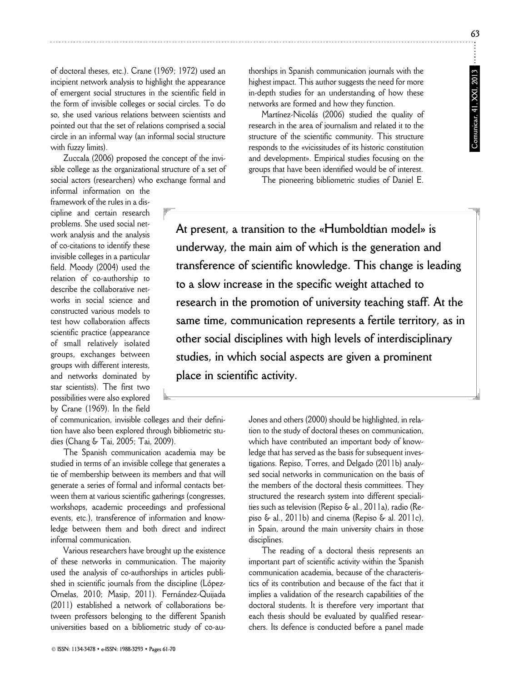of doctoral theses, etc.). Crane (1969; 1972) used an incipient network analysis to highlight the appearance of emergent social structures in the scientific field in the form of invisible colleges or social circles. To do so, she used various relations between scientists and pointed out that the set of relations comprised a social circle in an informal way (an informal social structure with fuzzy limits).

Zuccala (2006) proposed the concept of the invisible college as the organizational structure of a set of social actors (researchers) who exchange formal and

informal information on the framework of the rules in a discipline and certain research problems. She used social network analysis and the analysis of co-citations to identify these invisible colleges in a particular field. Moody (2004) used the relation of co-authorship to describe the collaborative networks in social science and constructed various models to test how collaboration affects scientific practice (appearance of small relatively isolated groups, ex changes between groups with different interests, and networks dominated by star scientists). The first two possibilities were also explored by Crane (1969). In the field

of communication, invisible colleges and their definition have also been explored through bibliometric studies (Chang & Tai, 2005; Tai, 2009).

The Spanish communication academia may be studied in terms of an invisible college that generates a tie of membership between its members and that will generate a series of formal and informal contacts between them at various scientific gatherings (congresses, workshops, academic proceedings and professional events, etc.), transference of information and knowledge between them and both direct and indirect informal communication.

Various researchers have brought up the existence of these networks in communication. The majority used the analysis of co-authorships in articles published in scientific journals from the discipline (López-Ornelas, 2010; Masip, 2011). Fernández-Quijada (2011) established a network of collaborations between professors belonging to the different Spanish universities based on a bibliometric study of co-authorships in Spanish communication journals with the highest impact. This author suggests the need for more in-depth studies for an understanding of how these networks are formed and how they function.

Martínez-Nicolás (2006) studied the quality of research in the area of journalism and related it to the structure of the scientific community. This structure responds to the «vicissitudes of its historic constitution and development». Empirical studies focusing on the groups that have been identified would be of interest.

The pioneering bibliometric studies of Daniel E.

**At present, a transition to the «Humboldtian model» is underway, the main aim of which is the generation and transference of scientific knowledge. This change is leading to a slow increase in the specific weight attached to research in the promotion of university teaching staff. At the same time, communication represents a fertile territory, as in other social disciplines with high levels of interdisciplinary studies, in which social aspects are given a prominent place in scientific activity.**

> Jones and others (2000) should be highlighted, in relation to the study of doctoral theses on communication, which have contributed an important body of knowledge that has served as the basis for subsequent investigations. Repiso, Torres, and Delgado (2011b) analysed social networks in communication on the basis of the members of the doctoral thesis committees. They structured the research system into different specialities such as television (Repiso & al., 2011a), radio (Repiso & al., 2011b) and cinema (Repiso & al. 2011c), in Spain, around the main university chairs in those disciplines.

> The reading of a doctoral thesis represents an important part of scientific activity within the Spanish communication academia, because of the characteristics of its contribution and because of the fact that it implies a validation of the research capabilities of the doctoral students. It is therefore very important that each thesis should be evaluated by qualified researchers. Its defence is conducted before a panel made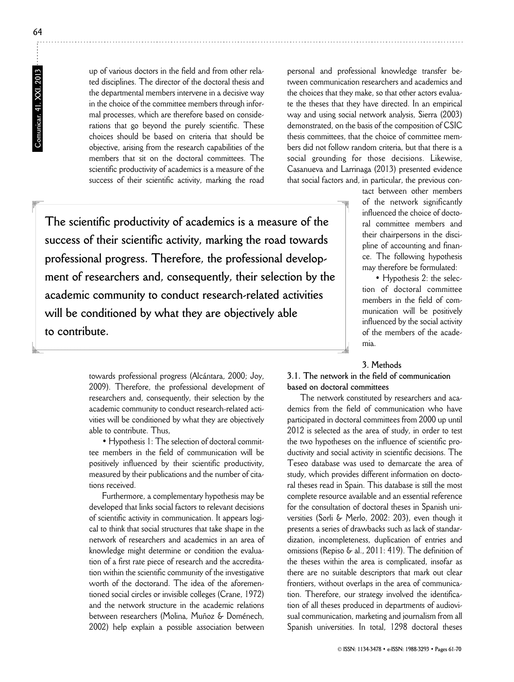**Comunicar, 41, XXI, 2013**

Comunicar, 41, XXI, 2013

up of various doctors in the field and from other related disciplines. The director of the doctoral thesis and the departmental members intervene in a decisive way in the choice of the committee members through informal processes, which are therefore based on considerations that go beyond the purely scientific. These choices should be based on criteria that should be objective, arising from the research capabilities of the members that sit on the doctoral committees. The scientific productivity of academics is a measure of the success of their scientific activity, marking the road

personal and professional knowledge transfer between communication researchers and academics and the choices that they make, so that other actors evaluate the theses that they have directed. In an empirical way and using social network analysis, Sierra (2003) demonstrated, on the basis of the composition of CSIC thesis committees, that the choice of committee members did not follow random criteria, but that there is a social grounding for those decisions. Likewise, Casanueva and Larrinaga (2013) presented evidence that social factors and, in particular, the previous con-

**The scientific productivity of academics is a measure of the success of their scientific activity, marking the road towards professional progress. Therefore, the professional development of researchers and, consequently, their selection by the academic community to conduct research-related activities will be conditioned by what they are objectively able to contribute.** 

tact between other members of the network significantly influenced the choice of doctoral committee members and their chairpersons in the discipline of accounting and finance. The following hypothesis may therefore be formulated:

• Hypothesis 2: the selection of doctoral committee members in the field of communication will be positively influenced by the social activity of the members of the academia.

### **3. Methods**

**3.1. The network in the field of communication based on doctoral committees**

The network constituted by researchers and academics from the field of communication who have participated in doctoral committees from 2000 up until 2012 is selected as the area of study, in order to test the two hypotheses on the influence of scientific productivity and social activity in scientific decisions. The Teseo database was used to demarcate the area of study, which provides different information on doctoral theses read in Spain. This database is still the most complete resource available and an essential reference for the consultation of doctoral theses in Spanish universities (Sorli & Merlo, 2002: 203), even though it presents a series of drawbacks such as lack of standardization, incompleteness, duplication of entries and omissions (Repiso & al., 2011: 419). The definition of the theses within the area is complicated, insofar as there are no suitable descriptors that mark out clear frontiers, without overlaps in the area of communication. Therefore, our strategy involved the identification of all theses produced in departments of audiovisual communication, marketing and journalism from all Spanish universities. In total, 1298 doctoral theses

towards professional progress (Alcántara, 2000; Joy, 2009). Therefore, the professional development of researchers and, consequently, their selection by the academic community to conduct research-related activities will be conditioned by what they are objectively able to contribute. Thus,

• Hypothesis 1: The selection of doctoral committee members in the field of communication will be positively influenced by their scientific productivity, measured by their publications and the number of citations received.

Furthermore, a complementary hypothesis may be developed that links social factors to relevant decisions of scientific activity in communication. It appears logical to think that social structures that take shape in the network of researchers and academics in an area of knowledge might determine or condition the evaluation of a first rate piece of research and the accreditation within the scientific community of the investigative worth of the doctorand. The idea of the aforemen tioned social circles or invisible colleges (Crane, 1972) and the network structure in the academic relations between researchers (Molina, Muñoz & Doménech, 2002) help explain a possible association between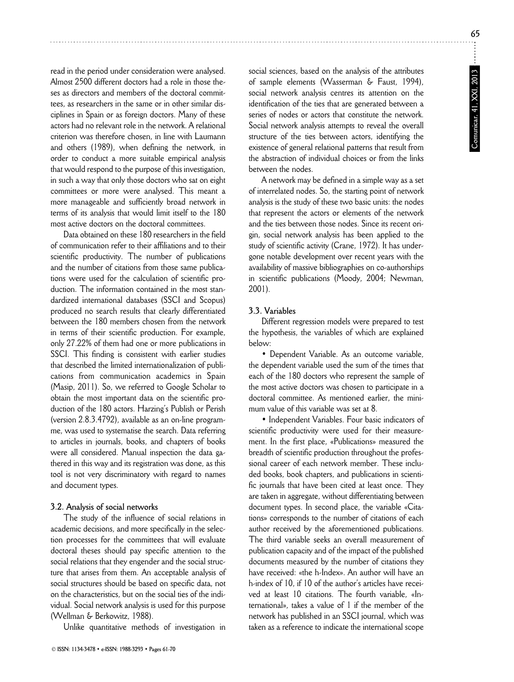read in the period under consideration were analysed. Almost 2500 different doctors had a role in those theses as directors and members of the doctoral committees, as researchers in the same or in other similar disciplines in Spain or as foreign doctors. Many of these actors had no relevant role in the network. A relational criterion was therefore chosen, in line with Laumann and others (1989), when defining the network, in order to conduct a more suitable empirical analysis that would respond to the purpose of this investigation, in such a way that only those doctors who sat on eight committees or more were analysed. This meant a more manageable and sufficiently broad network in terms of its analysis that would limit itself to the 180 most active doctors on the doctoral committees.

Data obtained on these 180 researchers in the field of communication refer to their affiliations and to their scientific productivity. The number of publications and the number of citations from those same publications were used for the calculation of scientific production. The information contained in the most standardized international databases (SSCI and Scopus) produced no search results that clearly differentiated between the 180 members chosen from the network in terms of their scientific production. For example, only 27.22% of them had one or more publications in SSCI. This finding is consistent with earlier studies that described the limited internationalization of publications from communication academics in Spain (Masip, 2011). So, we referred to Google Scholar to obtain the most important data on the scientific production of the 180 actors. Harzing's Publish or Perish (version 2.8.3.4792), available as an on-line programme, was used to systematise the search. Data referring to articles in journals, books, and chapters of books were all considered. Manual inspection the data gathered in this way and its registration was done, as this tool is not very discriminatory with regard to names and document types.

#### **3.2. Analysis of social networks**

The study of the influence of social relations in academic decisions, and more specifically in the selection processes for the committees that will evaluate doctoral theses should pay specific attention to the social relations that they engender and the social structure that arises from them. An acceptable analysis of social structures should be based on specific data, not on the characteristics, but on the social ties of the individual. Social network analysis is used for this purpose (Wellman & Berkowitz, 1988).

Unlike quantitative methods of investigation in

social sciences, based on the analysis of the attributes of sample elements (Wasserman & Faust, 1994), social network analysis centres its attention on the identification of the ties that are generated between a series of nodes or actors that constitute the network. Social network analysis attempts to reveal the overall structure of the ties between actors, identifying the existence of general relational patterns that result from the abstraction of individual choices or from the links between the nodes.

A network may be defined in a simple way as a set of interrelated nodes. So, the starting point of network analysis is the study of these two basic units: the nodes that represent the actors or elements of the network and the ties between those nodes. Since its recent origin, social network analysis has been applied to the study of scientific activity (Crane, 1972). It has undergone notable development over recent years with the availability of massive bibliographies on co-authorships in scientific publications (Moody, 2004; Newman, 2001).

#### **3.3. Variables**

Different regression models were prepared to test the hypothesis, the variables of which are explained below:

• Dependent Variable. As an outcome variable, the dependent variable used the sum of the times that each of the 180 doctors who represent the sample of the most active doctors was chosen to participate in a doctoral committee. As mentioned earlier, the minimum value of this variable was set at 8.

• Independent Variables. Four basic indicators of scientific productivity were used for their measurement. In the first place, «Publications» measured the breadth of scientific production throughout the professional career of each network member. These included books, book chapters, and publications in scientific journals that have been cited at least once. They are taken in aggregate, without differentiating between document types. In second place, the variable «Citations» corresponds to the number of citations of each author received by the aforementioned publications. The third variable seeks an overall measurement of publication capacity and of the impact of the published documents measured by the number of citations they have received: «the h-Index». An author will have an h-index of 10, if 10 of the author's articles have received at least 10 citations. The fourth variable, «International», takes a value of 1 if the member of the network has published in an SSCI journal, which was taken as a reference to indicate the international scope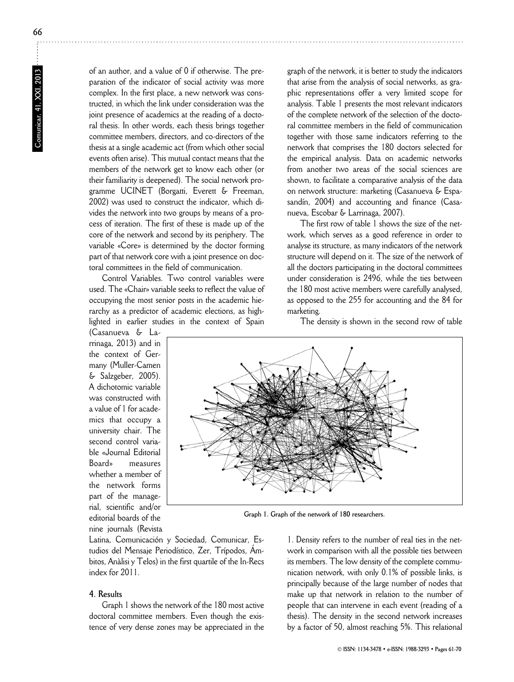of an author, and a value of 0 if otherwise. The preparation of the indicator of social activity was more complex. In the first place, a new network was constructed, in which the link under consideration was the joint presence of academics at the reading of a doctoral thesis. In other words, each thesis brings together committee members, directors, and co-directors of the thesis at a single academic act (from which other social events often arise). This mutual contact means that the members of the network get to know each other (or their familiarity is deepened). The social network programme UCINET (Borgatti, Everett & Freeman, 2002) was used to construct the indicator, which divides the network into two groups by means of a process of iteration. The first of these is made up of the core of the network and second by its periphery. The variable «Core» is determined by the doctor forming part of that network core with a joint presence on doctoral committees in the field of communication.

Control Variables. Two control variables were used. The «Chair» variable seeks to reflect the value of occupying the most senior posts in the academic hierarchy as a predictor of academic elections, as highlighted in earlier studies in the context of Spain

(Casanueva & Larrinaga, 2013) and in the context of Germany (Muller-Camen & Salzgeber, 2005). A dichotomic variable was constructed with a value of 1 for academics that occupy a university chair. The second control variable «Journal Editorial Board» measures whether a member of the network forms part of the managerial, scientific and/or editorial boards of the nine journals (Revista

graph of the network, it is better to study the indicators that arise from the analysis of social networks, as graphic representations offer a very limited scope for analysis. Table 1 presents the most relevant indicators of the complete network of the selection of the doctoral committee members in the field of communication together with those same indicators referring to the network that comprises the 180 doctors selected for the empirical analysis. Data on academic networks from another two areas of the social sciences are shown, to facilitate a comparative analysis of the data on network structure: marketing (Casanueva & Espasandín, 2004) and accounting and finance (Casanueva, Escobar & Larrinaga, 2007).

The first row of table 1 shows the size of the network, which serves as a good reference in order to analyse its structure, as many indicators of the network structure will depend on it. The size of the network of all the doctors participating in the doctoral committees under consideration is 2496, while the ties between the 180 most active members were carefully analysed, as opposed to the 255 for accounting and the 84 for marketing.

The density is shown in the second row of table



**Graph 1. Graph of the network of 180 researchers.**

Latina, Comunicación y Sociedad, Comunicar, Estudios del Mensaje Periodístico, Zer, Trípodos, Ámbitos, Anàlisi y Telos) in the first quartile of the In-Recs index for 2011.

# **4. Results**

Graph 1 shows the network of the 180 most active doctoral committee members. Even though the existence of very dense zones may be appreciated in the

1. Density refers to the number of real ties in the network in comparison with all the possible ties between its members. The low density of the complete communication network, with only 0.1% of possible links, is principally because of the large number of nodes that make up that network in relation to the number of people that can intervene in each event (reading of a thesis). The density in the second network increases by a factor of 50, almost reaching 5%. This relational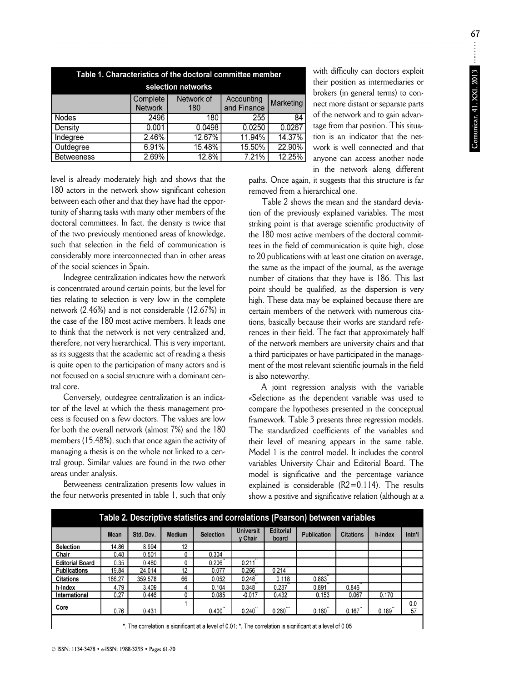| Table 1. Characteristics of the doctoral committee member |                            |                   |                           |           |  |  |
|-----------------------------------------------------------|----------------------------|-------------------|---------------------------|-----------|--|--|
| selection networks                                        |                            |                   |                           |           |  |  |
|                                                           | Complete<br><b>Network</b> | Network of<br>180 | Accounting<br>and Finance | Marketing |  |  |
| <b>Nodes</b>                                              | 2496                       | 180               | 255                       | 84        |  |  |
| Density                                                   | 0.001                      | 0.0498            | 0.0250                    | 0.0267    |  |  |
| Indegree                                                  | 2.46%                      | 12.67%            | 11.94%                    | 14.37%    |  |  |
| Outdegree                                                 | 6.91%                      | 15.48%            | 15.50%                    | 22.90%    |  |  |
| <b>Betweeness</b>                                         | 2.69%                      | 12.8%             | 7.21%                     | 12.25%    |  |  |
|                                                           |                            |                   |                           |           |  |  |

with difficulty can doctors exploit their position as intermediaries or brokers (in general terms) to connect more distant or separate parts of the network and to gain advantage from that position. This situation is an indicator that the network is well connected and that anyone can access another node in the network along different

level is already moderately high and shows that the 180 actors in the network show significant cohesion between each other and that they have had the opportunity of sharing tasks with many other members of the doctoral committees. In fact, the density is twice that of the two previously mentioned areas of knowledge, such that selection in the field of communication is considerably more interconnected than in other areas of the social sciences in Spain.

Indegree centralization indicates how the network is concentrated around certain points, but the level for ties relating to selection is very low in the complete network (2.46%) and is not considerable (12.67%) in the case of the 180 most active members. It leads one to think that the network is not very centralized and, therefore, not very hierarchical. This is very important, as its suggests that the academic act of reading a thesis is quite open to the participation of many actors and is not focused on a social structure with a dominant central core.

Conversely, outdegree centralization is an indicator of the level at which the thesis management process is focused on a few doctors. The values are low for both the overall network (almost 7%) and the 180 members (15.48%), such that once again the activity of managing a thesis is on the whole not linked to a central group. Similar values are found in the two other areas under analysis.

Betweeness centralization presents low values in the four networks presented in table 1, such that only paths. Once again, it suggests that this structure is far removed from a hierarchical one.

Table 2 shows the mean and the standard deviation of the previously explained variables. The most striking point is that average scientific productivity of the 180 most active members of the doctoral committees in the field of communication is quite high, close to 20 publications with at least one citation on average, the same as the impact of the journal, as the average number of citations that they have is 186. This last point should be qualified, as the dispersion is very high. These data may be explained because there are certain members of the network with numerous citations, basically because their works are standard references in their field. The fact that approximately half of the network members are university chairs and that a third participates or have participated in the management of the most relevant scientific journals in the field is also noteworthy.

A joint regression analysis with the variable «Selection» as the dependent variable was used to com pare the hypotheses presented in the conceptual framework. Table 3 presents three regression models. The standardized coefficients of the variables and their level of meaning appears in the same table. Model 1 is the control model. It includes the control variables University Chair and Editorial Board. The model is significative and the percentage variance explained is considerable (R2=0.114). The results show a positive and significative relation (although at a

| Table 2. Descriptive statistics and correlations (Pearson) between variables                             |        |           |               |                  |                             |                           |                    |                  |         |           |
|----------------------------------------------------------------------------------------------------------|--------|-----------|---------------|------------------|-----------------------------|---------------------------|--------------------|------------------|---------|-----------|
|                                                                                                          | Mean   | Std. Dev. | <b>Medium</b> | <b>Selection</b> | <b>Universit</b><br>y Chair | <b>Editorial</b><br>board | <b>Publication</b> | <b>Citations</b> | h-Index | Intn'l    |
| <b>Selection</b>                                                                                         | 14.86  | 8.994     | 12            |                  |                             |                           |                    |                  |         |           |
| Chair                                                                                                    | 0.48   | 0.501     |               | 0.304            |                             |                           |                    |                  |         |           |
| <b>Editorial Board</b>                                                                                   | 0.35   | 0.480     |               | 0.206            | 0.211                       |                           |                    |                  |         |           |
| <b>Publications</b>                                                                                      | 19.84  | 24.014    | 12            | 0.077            | 0.266                       | 0.214                     |                    |                  |         |           |
| <b>Citations</b>                                                                                         | 186.27 | 359.578   | 66            | 0.052            | 0.248                       | 0.118                     | 0.883              |                  |         |           |
| h-Index                                                                                                  | 4.79   | 3.409     |               | 0.104            | 0.348                       | 0.237                     | 0.891              | 0.846            |         |           |
| International                                                                                            | 0.27   | 0.446     |               | 0.085            | $-0.017$                    | 0.432                     | 0.153              | 0.067            | 0.170   |           |
| Core                                                                                                     | 0.76   | 0.431     |               | 0.400            | 0.240                       | 0.260                     | 0.160              | 0.167            | 0.189   | 0.0<br>57 |
| * The correlation is significant at a level of 0.01: * The correlation is significant at a level of 0.05 |        |           |               |                  |                             |                           |                    |                  |         |           |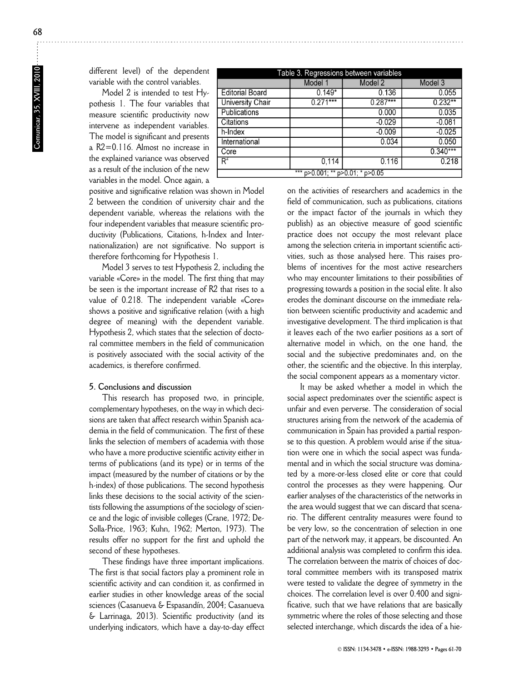different level) of the dependent variable with the control variables.

Model 2 is intended to test Hypothesis 1. The four variables that measure scientific productivity now intervene as independent variables. The model is significant and presents a R2=0.116. Almost no increase in the explained variance was observed as a result of the inclusion of the new variables in the model. Once again, a

| Table 3. Regressions between variables |            |            |            |  |  |
|----------------------------------------|------------|------------|------------|--|--|
|                                        | Model 1    | Model 2    | Model 3    |  |  |
| <b>Editorial Board</b>                 | $0.149*$   | 0.136      | 0.055      |  |  |
| <b>University Chair</b>                | $0.271***$ | $0.287***$ | $0.232**$  |  |  |
| Publications                           |            | 0.000      | 0.035      |  |  |
| <b>Citations</b>                       |            | $-0.029$   | $-0.081$   |  |  |
| h-Index                                |            | $-0.009$   | $-0.025$   |  |  |
| International                          |            | 0.034      | 0.050      |  |  |
| Core                                   |            |            | $0.340***$ |  |  |
| $R^2$                                  | 0.114      | 0.116      | 0.218      |  |  |
| ***<br>p>0.001; ** p>0.01; * p>0.05    |            |            |            |  |  |

positive and significative relation was shown in Model 2 between the condition of university chair and the dependent variable, whereas the relations with the four independent variables that measure scientific productivity (Publications, Citations, h-Index and Internationalization) are not significative. No support is therefore forthcoming for Hypothesis 1.

Model 3 serves to test Hypothesis 2, including the variable «Core» in the model. The first thing that may be seen is the important increase of R2 that rises to a value of 0.218. The independent variable «Core» shows a positive and significative relation (with a high degree of meaning) with the dependent variable. Hypothesis 2, which states that the selection of doctoral committee members in the field of communication is positively associated with the social activity of the academics, is therefore confirmed.

# **5. Conclusions and discussion**

This research has proposed two, in principle, complementary hypotheses, on the way in which decisions are taken that affect research within Spanish academia in the field of communication. The first of these links the selection of members of academia with those who have a more productive scientific activity either in terms of publications (and its type) or in terms of the impact (measured by the number of citations or by the h-index) of those publications. The second hypothesis links these decisions to the social activity of the scientists following the assumptions of the sociology of science and the logic of invisible colleges (Crane, 1972; De-Solla-Price, 1963; Kuhn, 1962; Merton, 1973). The results offer no support for the first and uphold the second of these hypotheses.

These findings have three important implications. The first is that social factors play a prominent role in scientific activity and can condition it, as confirmed in earlier studies in other knowledge areas of the social sciences (Casanueva & Espasandín, 2004; Casanueva & Larrinaga, 2013). Scientific productivity (and its underlying indicators, which have a day-to-day effect on the activities of researchers and academics in the field of communication, such as publications, citations or the impact factor of the journals in which they publish) as an objective measure of good scientific practice does not occupy the most relevant place among the selection criteria in important scientific activities, such as those analysed here. This raises problems of incentives for the most active researchers who may encounter limitations to their possibilities of progressing towards a position in the social elite. It also erodes the dominant discourse on the immediate relation between scientific productivity and academic and investigative development. The third implication is that it leaves each of the two earlier positions as a sort of alternative model in which, on the one hand, the social and the subjective predominates and, on the other, the scientific and the objective. In this interplay, the social component appears as a momentary victor.

It may be asked whether a model in which the social aspect predominates over the scientific aspect is unfair and even perverse. The consideration of social structures arising from the network of the academia of communication in Spain has provided a partial response to this question. A problem would arise if the situation were one in which the social aspect was fundamental and in which the social structure was dominated by a more-or-less closed elite or core that could control the processes as they were happening. Our earlier analyses of the characteristics of the networks in the area would suggest that we can discard that scenario. The different centrality measures were found to be very low, so the concentration of selection in one part of the network may, it appears, be discounted. An additional analysis was completed to confirm this idea. The correlation between the matrix of choices of doctoral committee members with its transposed matrix were tested to validate the degree of symmetry in the choices. The correlation level is over 0.400 and significative, such that we have relations that are basically symmetric where the roles of those selecting and those selected interchange, which discards the idea of a hie-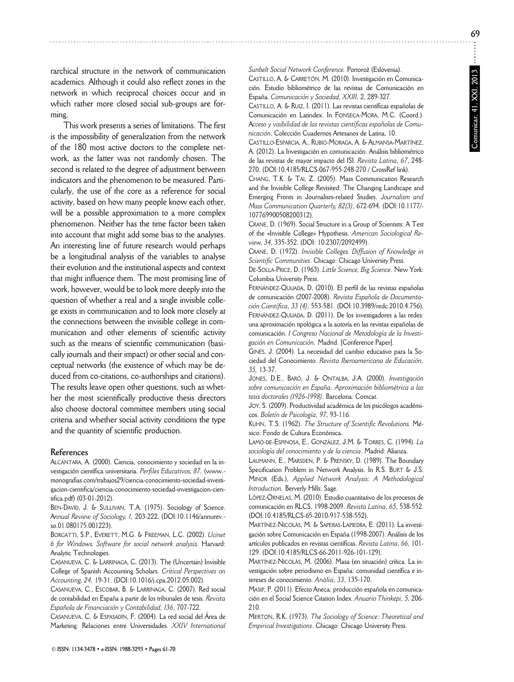rarchical structure in the network of communication academics. Although it could also reflect zones in the network in which reciprocal choices occur and in which rather more closed social sub-groups are forming.

This work presents a series of limitations. The first is the impossibility of generalization from the network of the 180 most active doctors to the complete network, as the latter was not randomly chosen. The second is related to the degree of adjustment between indicators and the phenomenon to be measured. Particularly, the use of the core as a reference for social activity, based on how many people know each other, will be a possible approximation to a more complex phenomenon. Neither has the time factor been taken into account that might add some bias to the analyses. An interesting line of future research would perhaps be a longitudinal analysis of the variables to analyse their evolution and the institutional aspects and context that might influence them. The most promising line of work, however, would be to look more deeply into the question of whether a real and a single invisible college exists in communication and to look more closely at the connections between the invisible college in communication and other elements of scientific activity such as the means of scientific communication (basically journals and their impact) or other social and conceptual networks (the existence of which may be deduced from co-citations, co-authorships and citations). The results leave open other questions, such as whether the most scientifically productive thesis directors also choose doctoral committee members using social criteria and whether social activity conditions the type and the quantity of scientific production.

#### **References**

ALCÁNTARA, A. (2000). Ciencia, conocimiento y sociedad en la in vestigación científica universitaria. *Perfiles Educativos, 87.* (www. monografias.com/trabajos29/ciencia-conocimiento-sociedad-investigacion-cientifica/ciencia-conocimiento-sociedad-investigacion-cientifica.pdf) (03-01-2012).

BEN-DAVID, J. & SULLIVAN, T.A. (1975). Sociology of Science. A*nnual Review of Sociology, 1,* 203-222. (DOI:10.1146/annurev. so.01.080175.001223).

BORGATTI, S.P., EVERETT, M.G. & FREEMAN, L.C. (2002). *Ucinet 6 for Windows. Software for social network analysis.* Harvard: Analytic Technologies.

CASANUEVA, C. & LARRINAGA, C. (2013). The (Uncertain) Invisible College of Spanish Accounting Scholars. *Critical Perspectives on Accounting, 24,* 19-31. (DOI:10.1016/j.cpa.2012.05.002).

CASANUEVA, C., ESCOBAR, B. & LARRINAGA, C. (2007). Red social de contabilidad en España a partir de los tribunales de tesis. *Revista Española de Financiación y Contabilidad, 136*, 707-722.

CASANUEVA, C. & ESPASADÍN, F. (2004). La red social del Área de Marketing: Relaciones entre Universidades. *XXIV International* Sunbelt Social Network Conference. Portorož (Eslovenia). CASTILLO, A. & CARRETÓN, M. (2010). Investigación en Comunicación. Estudio bibliométrico de las revistas de Comunicación en España. *Comunicación y Sociedad, XXIII,* 2, 289-327.

CASTILLO, A. & RUIZ, I. (2011). Las revistas científicas españolas de Comunicación en Latindex. In FONSECA-MORA, M.C. (Coord.). A*cceso y visibilidad de las revistas científicas españolas de Comu nicación*. Colección Cuadernos Artesanos de Latina, 10.

CASTILLO-ESPARCIA, A., RUBIO-MORAGA, A. & ALMANSA-MARTÍNEZ, A. (2012). La Investigación en comunicación. Análisis bibliométrico de las revistas de mayor impacto del ISI. *Revista Latina, 67*, 248- 270. (DOI:10.4185/RLCS-067-955-248-270 / CrossRef link).

CHANG, T.K. & TAI, Z. (2005). Mass Communication Research and the Invisible College Revisited: The Changing Landscape and Emerging Fronts in Journalism-related Studies. *Journalism and Mass Communication Quarterly, 82(3),* 672-694. (DOI:10.1177/ - 107769900508200312).

CRANE, D. (1969). Social Structure in a Group of Scientists: A Test of the «Invisible College» Hypothesis. *American Sociological Re view, 34,* 335-352. (DOI: 10.2307/2092499).

CRANE, D. (1972). *Invisible Colleges. Diffusion of Knowledge in Scientific Communities*. Chicago: Chicago University Press.

DE-SOLLA-PRICE, D. (1963). *Little Science, Big Science*. New York: Columbia University Press.

FERNÁNDEZ-QUIJADA, D. (2010). El perfil de las revistas españolas de comunicación (2007-2008). *Revista Española de Documentación Científica, 33 (4),* 553-581. (DOI:10.3989/redc. 2010.4. 756). FERNÁNDEZ-QUIJADA, D. (2011). De los investigadores a las redes: una aproximación tipológica a la autoría en las revistas españolas de comunicación. *I Congreso Nacional de Metodología de la Investi ga ción en Comunicación.* Madrid. [Conference Paper].

GINÉS, J. (2004). La necesidad del cambio educativo para la Sociedad del Conocimiento. *Revista Iberoamericana de Edu cación, 35,* 13-37.

JONES, D.E., BARÓ, J. & ONTALBA, J.A. (2000). *Investigación sobre comunicación en España. Aproximación bibliométrica a las tesis doctorales (1926-1998).* Barcelona: Comcat.

JOY, S. (2009). Productividad académica de los psicólogos académicos. *Boletín de Psicología, 97*, 93-116.

KUHN, T.S. (1962). *The Structure of Scientific Revolutions.* Mé xico: Fondo de Cultura Económica.

LAMO-DE-ESPINOSA, E., GONZÁLEZ, J.M. & TORRES, C. (1994). *La so ciología del conocimiento y de la ciencia*. Madrid: Alianza.

LAUMANN, E., MARSDEN, P. & PRENSKY, D. (1989). The Boundary Specification Problem in Network Analysis. In R.S. BURT & J.S. MINOR (Eds.), *Applied Network Analysis: A Methodological Introduction.* Berverly Hills: Sage.

LÓPEZ-ORNELAS, M. (2010). Estudio cuantitativo de los procesos de comunicación en RLCS, 1998-2009. *Revista Latina, 65*, 538-552. (DOI:10.4185/RLCS-65-2010-917-538-552).

MARTÍNEZ-NICOLÁS, M. & SAPERAS-LAPIEDRA, E. (2011). La investigación sobre Comunicación en España (1998-2007). Análisis de los artículos publicados en revistas científicas. *Revista Latina, 66,* 101- 129. (DOI:10.4185/RLCS-66-2011-926-101-129).

MARTÍNEZ-NICOLÁS, M. (2006). Masa (en situación) crítica. La investigación sobre periodismo en España: comunidad científica e intereses de conocimiento. *Anàlisi, 33*, 135-170.

MASIP, P. (2011). Efecto Aneca: producción española en comunicación en el Social Science Citation Index. *Anuario Thinkepi, 5,* 206- 210.

MERTON, R.K. (1973). *The Sociology of Science: Theoretical and Empirical Investigations*. Chicago: Chicago University Press.